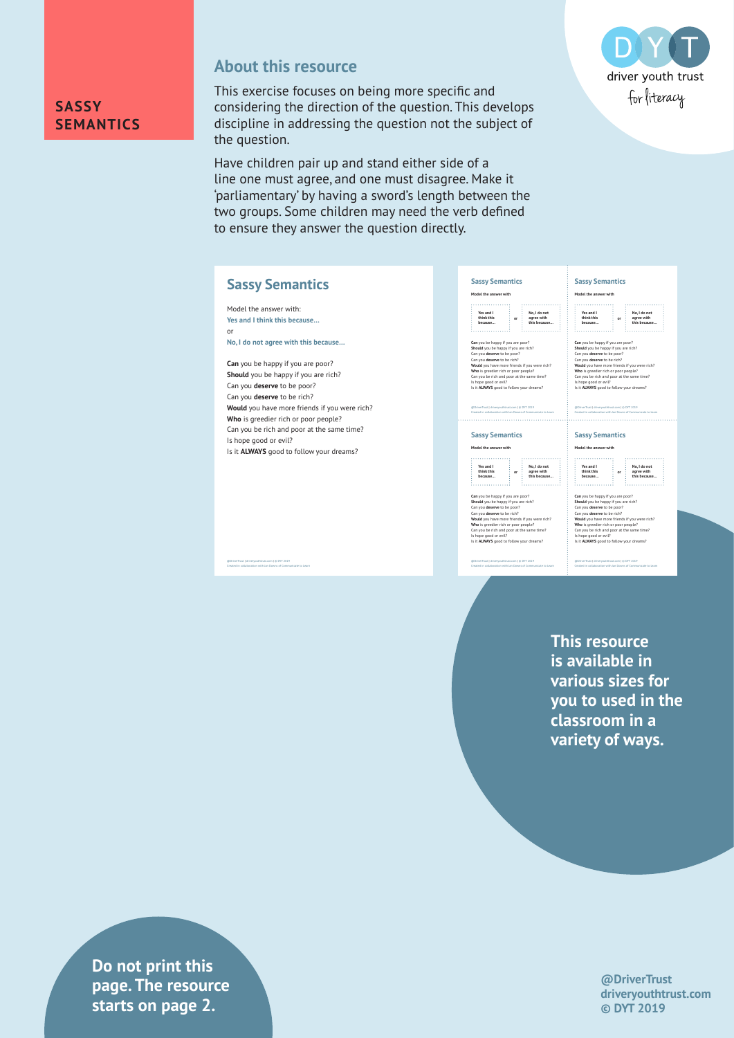

### **About this resource**

This exercise focuses on being more specific and considering the direction of the question. This develops discipline in addressing the question not the subject of the question.

Have children pair up and stand either side of a line one must agree, and one must disagree. Make it 'parliamentary' by having a sword's length between the two groups. Some children may need the verb defined to ensure they answer the question directly.



## **Sassy Semantics**

Model the answer with: **Yes and I think this because…** or

@DriverTrust | driveryouthtrust.com | © DYT 2019 Created in collaboration with Jan Downs of Communicate to Learn

**No, I do not agree with this because…**

**Can** you be happy if you are poor? **Should** you be happy if you are rich? Can you **deserve** to be poor? Can you **deserve** to be rich? **Would** you have more friends if you were rich? **Who** is greedier rich or poor people? Can you be rich and poor at the same time? Is hope good or evil? Is it **ALWAYS** good to follow your dreams?

@DriverTrust | driveryouthtrust.com | © DYT 2019 Created in collaboration with Jan Downs of Communicate to Learn **Who** is greedier rich or poor people? Can you be rich and poor at the same time? Is hope good or evil? Is it **ALWAYS** good to follow your dreams? **Sassy Semantics Model the answer with Yes and I think this because… No, I do not agree with this because…** Can you be happy if you are poor?<br>Should you be happy if you are rich?<br>Can you deserve to be poor?<br>Can you deserve to be on??<br>Would you have more friends if you were rich?<br>Would you have more prepare?<br>Can you be rich and p **or**

**Sassy Semantics Model the answer with**

**Can** you be happy if you are poor?<br> **Can** you **deserve** to be poor?<br> **Can you deserve** to be rich?<br> **Can you deserve** to be rich?<br> **Would** you have more friends if you were rich?

**No, I do not agree with this because… or**

**Yes and I think this because…**

. . . . . . . . . . . . . 1

@DriverTrust | driveryouthtrust.com | © DYT 2019 Created in collaboration with Jan Downs of Communicate to Learn

| <b>Sassy Semantics</b>  |    |                            |
|-------------------------|----|----------------------------|
| Model the answer with   |    |                            |
|                         |    |                            |
| Yes and I<br>think this |    | No. I do not<br>agree with |
|                         | or | this because               |
| because                 |    |                            |

Can you be happy if you are poor?<br>Should you be happy if you are rich?<br>Can you deserve to be poor?<br>Can you deserve to be rich?<br>Would you have more friends if you were rich?<br>Whould you have more friends if you were rich?<br>Ca Is hope good or evil? Is it **ALWAYS** good to follow your dreams?

@DriverTrust | driveryouthtrust.com | © DYT 2019 Created in collaboration with Jan Downs of Communicate to Learn

**Sassy Semantics Model the answer with**



Can you be happy if you are poor?<br>Should you be happy if you are rich?<br>Can you deserve to be poor?<br>Can you deserve to be cin?<br>Would you have more friends if you were rich?<br>Would you have more friends if you were rich?<br>Can

@DriverTrust | driveryouthtrust.com | © DYT 2019 Created in collaboration with Jan Downs of Communicate to Learn

**This resource is available in various sizes for you to used in the classroom in a variety of ways.**

**Privers 2** drivers page. The resource **Exercise in collaboration with Aasters on page 2. Do not print this** 

**@DriverTrust driveryouthtrust.com © DYT 2019**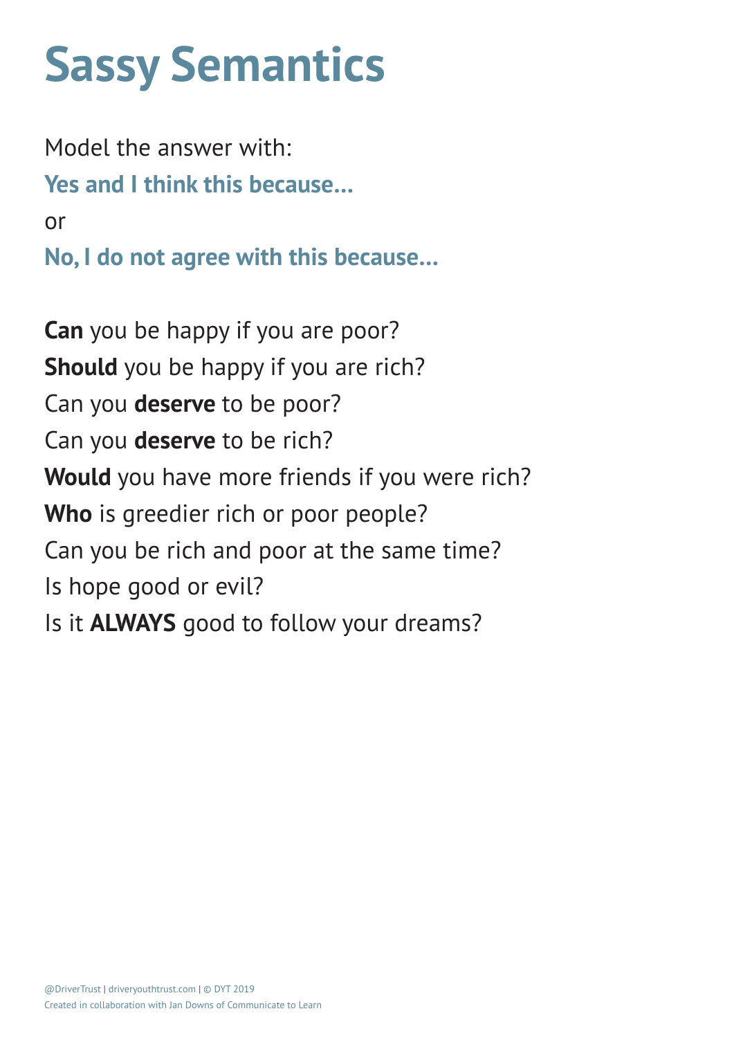# **Sassy Semantics**

Model the answer with: **Yes and I think this because…** or **No, I do not agree with this because…**

**Can** you be happy if you are poor? **Should** you be happy if you are rich? Can you **deserve** to be poor? Can you **deserve** to be rich? **Would** you have more friends if you were rich? **Who** is greedier rich or poor people? Can you be rich and poor at the same time? Is hope good or evil? Is it **ALWAYS** good to follow your dreams?